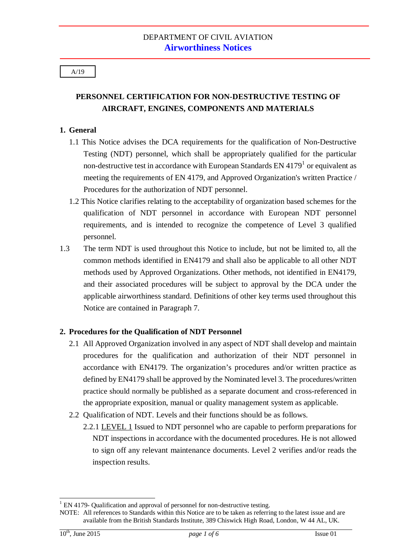# **PERSONNEL CERTIFICATION FOR NON-DESTRUCTIVE TESTING OF AIRCRAFT, ENGINES, COMPONENTS AND MATERIALS**

### **1. General**

- 1.1 This Notice advises the DCA requirements for the qualification of Non-Destructive Testing (NDT) personnel, which shall be appropriately qualified for the particular non-destructive test in accordance with European Standards EN  $4179<sup>1</sup>$  $4179<sup>1</sup>$  $4179<sup>1</sup>$  or equivalent as meeting the requirements of EN 4179, and Approved Organization's written Practice / Procedures for the authorization of NDT personnel.
- 1.2 This Notice clarifies relating to the acceptability of organization based schemes for the qualification of NDT personnel in accordance with European NDT personnel requirements, and is intended to recognize the competence of Level 3 qualified personnel.
- 1.3 The term NDT is used throughout this Notice to include, but not be limited to, all the common methods identified in EN4179 and shall also be applicable to all other NDT methods used by Approved Organizations. Other methods, not identified in EN4179, and their associated procedures will be subject to approval by the DCA under the applicable airworthiness standard. Definitions of other key terms used throughout this Notice are contained in Paragraph 7.

### **2. Procedures for the Qualification of NDT Personnel**

- 2.1 All Approved Organization involved in any aspect of NDT shall develop and maintain procedures for the qualification and authorization of their NDT personnel in accordance with EN4179. The organization's procedures and/or written practice as defined by EN4179 shall be approved by the Nominated level 3. The procedures/written practice should normally be published as a separate document and cross-referenced in the appropriate exposition, manual or quality management system as applicable.
- 2.2 Qualification of NDT. Levels and their functions should be as follows.
	- 2.2.1 LEVEL 1 Issued to NDT personnel who are capable to perform preparations for NDT inspections in accordance with the documented procedures. He is not allowed to sign off any relevant maintenance documents. Level 2 verifies and/or reads the inspection results.

-

<sup>&</sup>lt;sup>1</sup> EN 4179- Qualification and approval of personnel for non-destructive testing.

<span id="page-0-0"></span>NOTE: All references to Standards within this Notice are to be taken as referring to the latest issue and are available from the British Standards Institute, 389 Chiswick High Road, London, W 44 AL, UK.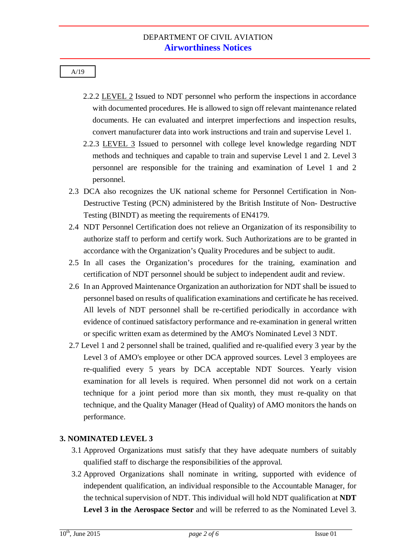- 2.2.2 LEVEL 2 Issued to NDT personnel who perform the inspections in accordance with documented procedures. He is allowed to sign off relevant maintenance related documents. He can evaluated and interpret imperfections and inspection results, convert manufacturer data into work instructions and train and supervise Level 1.
- 2.2.3 LEVEL 3 Issued to personnel with college level knowledge regarding NDT methods and techniques and capable to train and supervise Level 1 and 2. Level 3 personnel are responsible for the training and examination of Level 1 and 2 personnel.
- 2.3 DCA also recognizes the UK national scheme for Personnel Certification in Non-Destructive Testing (PCN) administered by the British Institute of Non- Destructive Testing (BINDT) as meeting the requirements of EN4179.
- 2.4 NDT Personnel Certification does not relieve an Organization of its responsibility to authorize staff to perform and certify work. Such Authorizations are to be granted in accordance with the Organization's Quality Procedures and be subject to audit.
- 2.5 In all cases the Organization's procedures for the training, examination and certification of NDT personnel should be subject to independent audit and review.
- 2.6 In an Approved Maintenance Organization an authorization for NDT shall be issued to personnel based on results of qualification examinations and certificate he has received. All levels of NDT personnel shall be re-certified periodically in accordance with evidence of continued satisfactory performance and re-examination in general written or specific written exam as determined by the AMO's Nominated Level 3 NDT.
- 2.7 Level 1 and 2 personnel shall be trained, qualified and re-qualified every 3 year by the Level 3 of AMO's employee or other DCA approved sources. Level 3 employees are re-qualified every 5 years by DCA acceptable NDT Sources. Yearly vision examination for all levels is required. When personnel did not work on a certain technique for a joint period more than six month, they must re-quality on that technique, and the Quality Manager (Head of Quality) of AMO monitors the hands on performance.

# **3. NOMINATED LEVEL 3**

- 3.1 Approved Organizations must satisfy that they have adequate numbers of suitably qualified staff to discharge the responsibilities of the approval.
- 3.2 Approved Organizations shall nominate in writing, supported with evidence of independent qualification, an individual responsible to the Accountable Manager, for the technical supervision of NDT. This individual will hold NDT qualification at **NDT Level 3 in the Aerospace Sector** and will be referred to as the Nominated Level 3.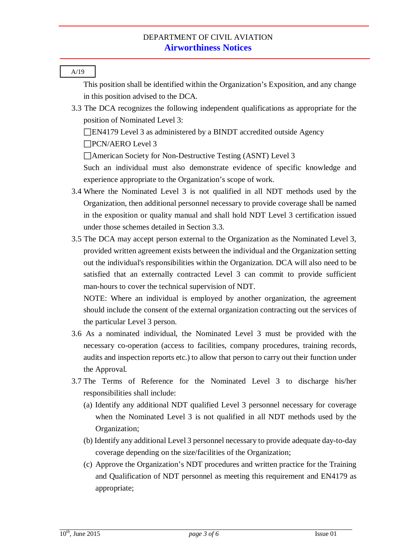A/19 This position shall be identified within the Organization's Exposition, and any change in this position advised to the DCA. 3.3 The DCA recognizes the following independent qualifications as appropriate for the position of Nominated Level 3: EN4179 Level 3 as administered by a BINDT accredited outside Agency PCN/AERO Level 3 American Society for Non-Destructive Testing (ASNT) Level 3 Such an individual must also demonstrate evidence of specific knowledge and experience appropriate to the Organization's scope of work. 3.4 Where the Nominated Level 3 is not qualified in all NDT methods used by the Organization, then additional personnel necessary to provide coverage shall be named in the exposition or quality manual and shall hold NDT Level 3 certification issued under those schemes detailed in Section 3.3. 3.5 The DCA may accept person external to the Organization as the Nominated Level 3, provided written agreement exists between the individual and the Organization setting out the individual's responsibilities within the Organization. DCA will also need to be satisfied that an externally contracted Level 3 can commit to provide sufficient man-hours to cover the technical supervision of NDT. NOTE: Where an individual is employed by another organization, the agreement should include the consent of the external organization contracting out the services of the particular Level 3 person. 3.6 As a nominated individual, the Nominated Level 3 must be provided with the necessary co-operation (access to facilities, company procedures, training records, audits and inspection reports etc.) to allow that person to carry out their function under the Approval. 3.7 The Terms of Reference for the Nominated Level 3 to discharge his/her responsibilities shall include: (a) Identify any additional NDT qualified Level 3 personnel necessary for coverage when the Nominated Level 3 is not qualified in all NDT methods used by the Organization; (b) Identify any additional Level 3 personnel necessary to provide adequate day-to-day

(c) Approve the Organization's NDT procedures and written practice for the Training and Qualification of NDT personnel as meeting this requirement and EN4179 as appropriate;

coverage depending on the size/facilities of the Organization;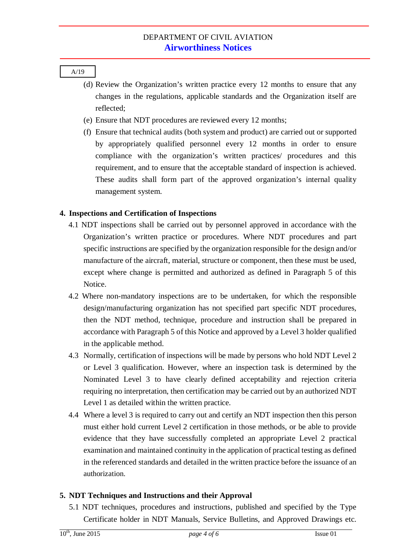- (d) Review the Organization's written practice every 12 months to ensure that any changes in the regulations, applicable standards and the Organization itself are reflected;
- (e) Ensure that NDT procedures are reviewed every 12 months;
- (f) Ensure that technical audits (both system and product) are carried out or supported by appropriately qualified personnel every 12 months in order to ensure compliance with the organization's written practices/ procedures and this requirement, and to ensure that the acceptable standard of inspection is achieved. These audits shall form part of the approved organization's internal quality management system.

# **4. Inspections and Certification of Inspections**

- 4.1 NDT inspections shall be carried out by personnel approved in accordance with the Organization's written practice or procedures. Where NDT procedures and part specific instructions are specified by the organization responsible for the design and/or manufacture of the aircraft, material, structure or component, then these must be used, except where change is permitted and authorized as defined in Paragraph 5 of this Notice.
- 4.2 Where non-mandatory inspections are to be undertaken, for which the responsible design/manufacturing organization has not specified part specific NDT procedures, then the NDT method, technique, procedure and instruction shall be prepared in accordance with Paragraph 5 of this Notice and approved by a Level 3 holder qualified in the applicable method.
- 4.3 Normally, certification of inspections will be made by persons who hold NDT Level 2 or Level 3 qualification. However, where an inspection task is determined by the Nominated Level 3 to have clearly defined acceptability and rejection criteria requiring no interpretation, then certification may be carried out by an authorized NDT Level 1 as detailed within the written practice.
- 4.4 Where a level 3 is required to carry out and certify an NDT inspection then this person must either hold current Level 2 certification in those methods, or be able to provide evidence that they have successfully completed an appropriate Level 2 practical examination and maintained continuity in the application of practical testing as defined in the referenced standards and detailed in the written practice before the issuance of an authorization.

# **5. NDT Techniques and Instructions and their Approval**

5.1 NDT techniques, procedures and instructions, published and specified by the Type Certificate holder in NDT Manuals, Service Bulletins, and Approved Drawings etc.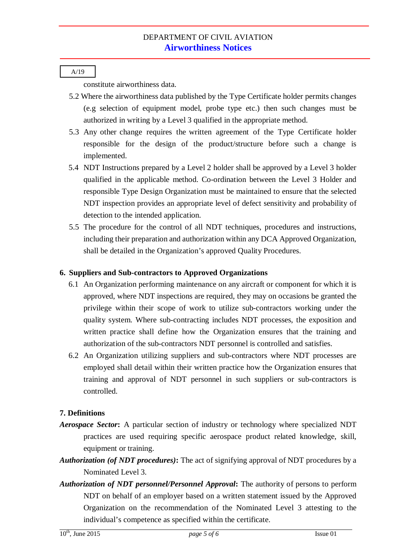constitute airworthiness data.

- 5.2 Where the airworthiness data published by the Type Certificate holder permits changes (e.g selection of equipment model, probe type etc.) then such changes must be authorized in writing by a Level 3 qualified in the appropriate method.
- 5.3 Any other change requires the written agreement of the Type Certificate holder responsible for the design of the product/structure before such a change is implemented.
- 5.4 NDT Instructions prepared by a Level 2 holder shall be approved by a Level 3 holder qualified in the applicable method. Co-ordination between the Level 3 Holder and responsible Type Design Organization must be maintained to ensure that the selected NDT inspection provides an appropriate level of defect sensitivity and probability of detection to the intended application.
- 5.5 The procedure for the control of all NDT techniques, procedures and instructions, including their preparation and authorization within any DCA Approved Organization, shall be detailed in the Organization's approved Quality Procedures.

### **6. Suppliers and Sub-contractors to Approved Organizations**

- 6.1 An Organization performing maintenance on any aircraft or component for which it is approved, where NDT inspections are required, they may on occasions be granted the privilege within their scope of work to utilize sub-contractors working under the quality system. Where sub-contracting includes NDT processes, the exposition and written practice shall define how the Organization ensures that the training and authorization of the sub-contractors NDT personnel is controlled and satisfies.
- 6.2 An Organization utilizing suppliers and sub-contractors where NDT processes are employed shall detail within their written practice how the Organization ensures that training and approval of NDT personnel in such suppliers or sub-contractors is controlled.

# **7. Definitions**

- *Aerospace Sector***:** A particular section of industry or technology where specialized NDT practices are used requiring specific aerospace product related knowledge, skill, equipment or training.
- *Authorization (of NDT procedures)***:** The act of signifying approval of NDT procedures by a Nominated Level 3.
- *Authorization of NDT personnel/Personnel Approval***:** The authority of persons to perform NDT on behalf of an employer based on a written statement issued by the Approved Organization on the recommendation of the Nominated Level 3 attesting to the individual's competence as specified within the certificate.